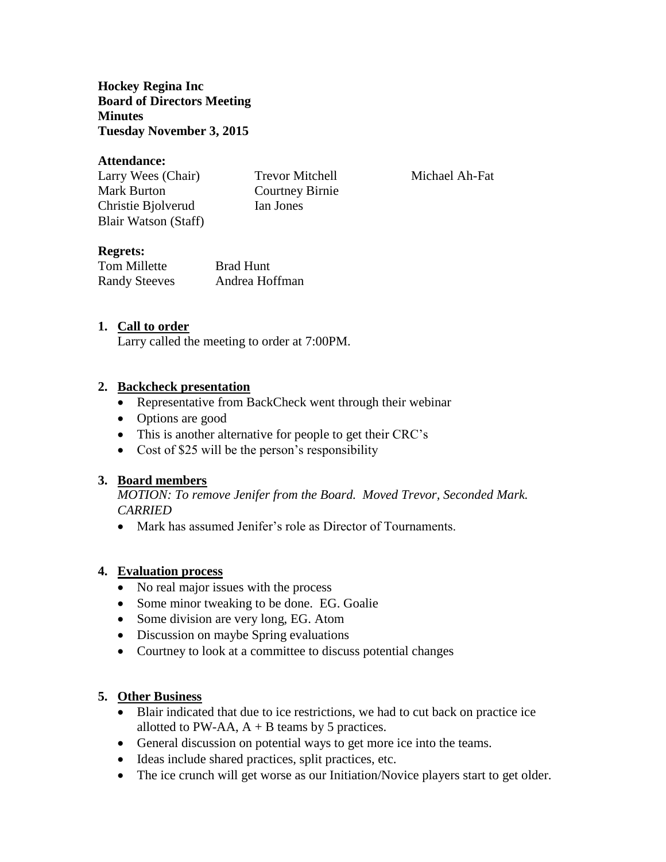**Hockey Regina Inc Board of Directors Meeting Minutes Tuesday November 3, 2015**

#### **Attendance:**

Larry Wees (Chair) Trevor Mitchell Michael Ah-Fat Mark Burton Courtney Birnie Christie Bjolverud Ian Jones Blair Watson (Staff)

## **Regrets:**

Tom Millette Brad Hunt Randy Steeves Andrea Hoffman

#### **1. Call to order**

Larry called the meeting to order at 7:00PM.

#### **2. Backcheck presentation**

- Representative from BackCheck went through their webinar
- Options are good
- This is another alternative for people to get their CRC's
- Cost of \$25 will be the person's responsibility

#### **3. Board members**

*MOTION: To remove Jenifer from the Board. Moved Trevor, Seconded Mark. CARRIED*

• Mark has assumed Jenifer's role as Director of Tournaments.

#### **4. Evaluation process**

- No real major issues with the process
- Some minor tweaking to be done. EG. Goalie
- Some division are very long, EG. Atom
- Discussion on maybe Spring evaluations
- Courtney to look at a committee to discuss potential changes

### **5. Other Business**

- Blair indicated that due to ice restrictions, we had to cut back on practice ice allotted to PW-AA,  $A + B$  teams by 5 practices.
- General discussion on potential ways to get more ice into the teams.
- Ideas include shared practices, split practices, etc.
- The ice crunch will get worse as our Initiation/Novice players start to get older.